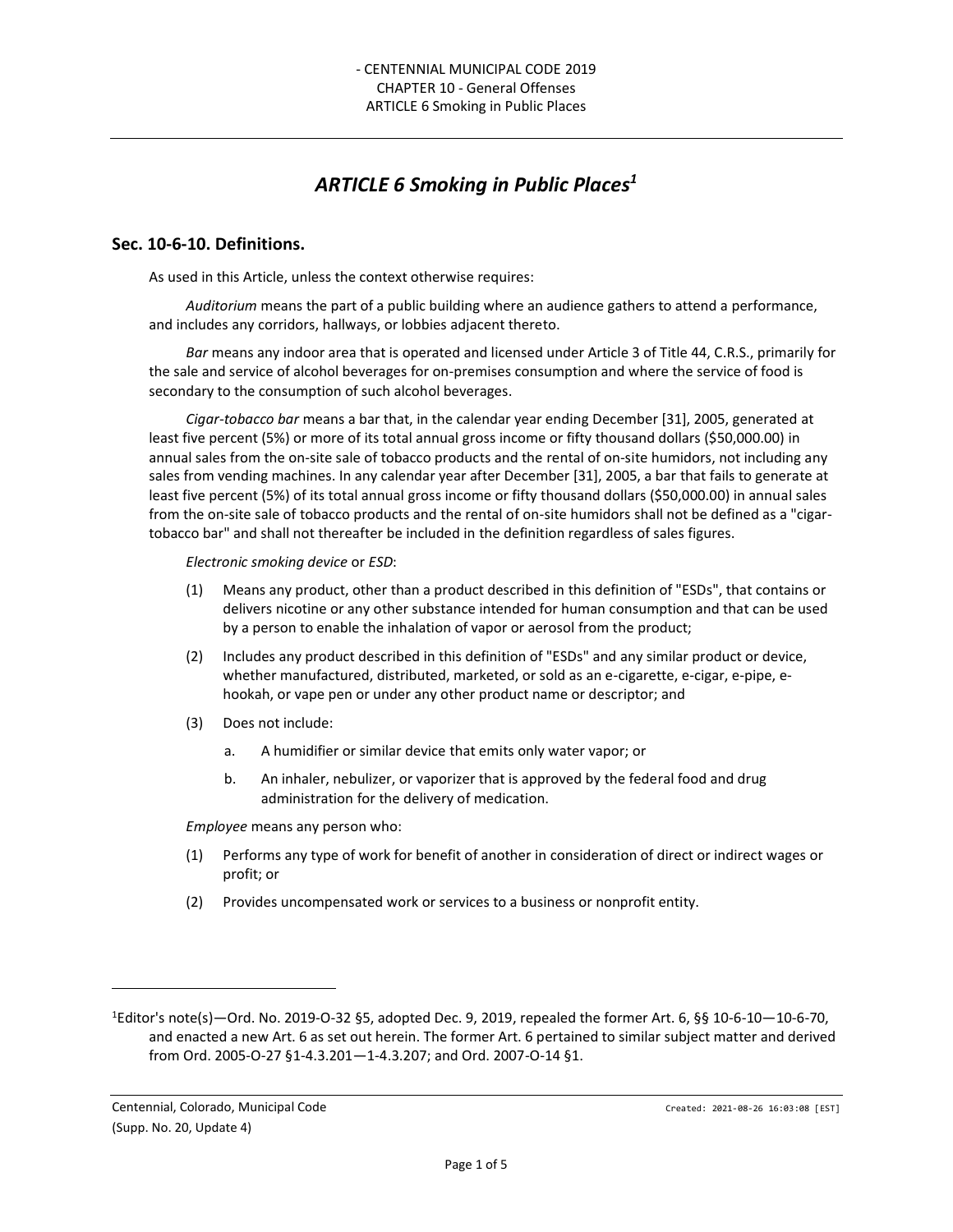# *ARTICLE 6 Smoking in Public Places<sup>1</sup>*

#### **Sec. 10-6-10. Definitions.**

As used in this Article, unless the context otherwise requires:

*Auditorium* means the part of a public building where an audience gathers to attend a performance, and includes any corridors, hallways, or lobbies adjacent thereto.

*Bar* means any indoor area that is operated and licensed under Article 3 of Title 44, C.R.S., primarily for the sale and service of alcohol beverages for on-premises consumption and where the service of food is secondary to the consumption of such alcohol beverages.

*Cigar-tobacco bar* means a bar that, in the calendar year ending December [31], 2005, generated at least five percent (5%) or more of its total annual gross income or fifty thousand dollars (\$50,000.00) in annual sales from the on-site sale of tobacco products and the rental of on-site humidors, not including any sales from vending machines. In any calendar year after December [31], 2005, a bar that fails to generate at least five percent (5%) of its total annual gross income or fifty thousand dollars (\$50,000.00) in annual sales from the on-site sale of tobacco products and the rental of on-site humidors shall not be defined as a "cigartobacco bar" and shall not thereafter be included in the definition regardless of sales figures.

*Electronic smoking device* or *ESD*:

- (1) Means any product, other than a product described in this definition of "ESDs", that contains or delivers nicotine or any other substance intended for human consumption and that can be used by a person to enable the inhalation of vapor or aerosol from the product;
- (2) Includes any product described in this definition of "ESDs" and any similar product or device, whether manufactured, distributed, marketed, or sold as an e-cigarette, e-cigar, e-pipe, ehookah, or vape pen or under any other product name or descriptor; and
- (3) Does not include:
	- a. A humidifier or similar device that emits only water vapor; or
	- b. An inhaler, nebulizer, or vaporizer that is approved by the federal food and drug administration for the delivery of medication.

*Employee* means any person who:

- (1) Performs any type of work for benefit of another in consideration of direct or indirect wages or profit; or
- (2) Provides uncompensated work or services to a business or nonprofit entity.

<sup>1</sup>Editor's note(s)—Ord. No. 2019-O-32 §5, adopted Dec. 9, 2019, repealed the former Art. 6, §§ 10-6-10—10-6-70, and enacted a new Art. 6 as set out herein. The former Art. 6 pertained to similar subject matter and derived from Ord. 2005-O-27 §1-4.3.201—1-4.3.207; and Ord. 2007-O-14 §1.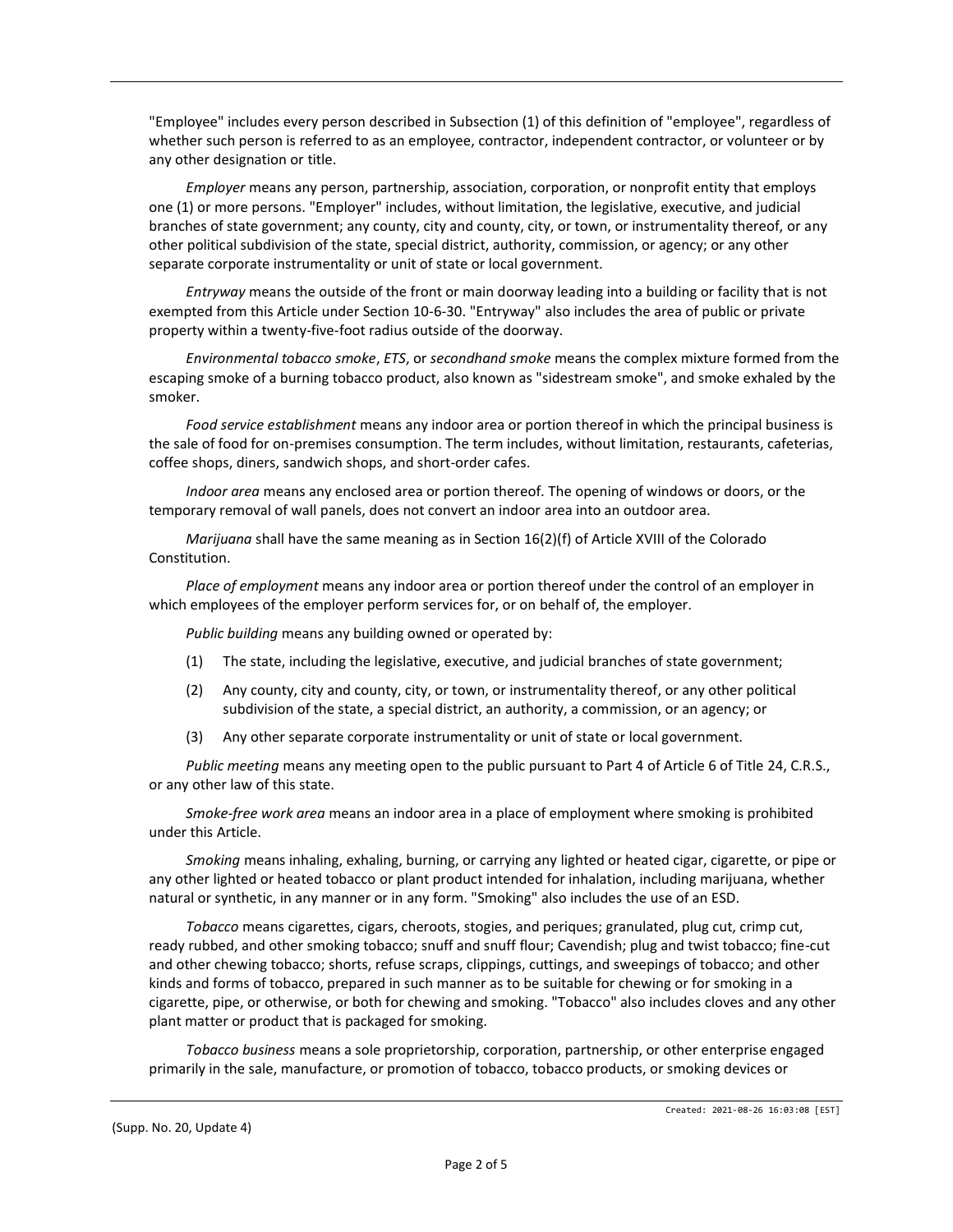"Employee" includes every person described in Subsection (1) of this definition of "employee", regardless of whether such person is referred to as an employee, contractor, independent contractor, or volunteer or by any other designation or title.

*Employer* means any person, partnership, association, corporation, or nonprofit entity that employs one (1) or more persons. "Employer" includes, without limitation, the legislative, executive, and judicial branches of state government; any county, city and county, city, or town, or instrumentality thereof, or any other political subdivision of the state, special district, authority, commission, or agency; or any other separate corporate instrumentality or unit of state or local government.

*Entryway* means the outside of the front or main doorway leading into a building or facility that is not exempted from this Article under Section 10-6-30. "Entryway" also includes the area of public or private property within a twenty-five-foot radius outside of the doorway.

*Environmental tobacco smoke*, *ETS*, or *secondhand smoke* means the complex mixture formed from the escaping smoke of a burning tobacco product, also known as "sidestream smoke", and smoke exhaled by the smoker.

*Food service establishment* means any indoor area or portion thereof in which the principal business is the sale of food for on-premises consumption. The term includes, without limitation, restaurants, cafeterias, coffee shops, diners, sandwich shops, and short-order cafes.

*Indoor area* means any enclosed area or portion thereof. The opening of windows or doors, or the temporary removal of wall panels, does not convert an indoor area into an outdoor area.

*Marijuana* shall have the same meaning as in Section 16(2)(f) of Article XVIII of the Colorado Constitution.

*Place of employment* means any indoor area or portion thereof under the control of an employer in which employees of the employer perform services for, or on behalf of, the employer.

*Public building* means any building owned or operated by:

- (1) The state, including the legislative, executive, and judicial branches of state government;
- (2) Any county, city and county, city, or town, or instrumentality thereof, or any other political subdivision of the state, a special district, an authority, a commission, or an agency; or
- (3) Any other separate corporate instrumentality or unit of state or local government.

*Public meeting* means any meeting open to the public pursuant to Part 4 of Article 6 of Title 24, C.R.S., or any other law of this state.

*Smoke-free work area* means an indoor area in a place of employment where smoking is prohibited under this Article.

*Smoking* means inhaling, exhaling, burning, or carrying any lighted or heated cigar, cigarette, or pipe or any other lighted or heated tobacco or plant product intended for inhalation, including marijuana, whether natural or synthetic, in any manner or in any form. "Smoking" also includes the use of an ESD.

*Tobacco* means cigarettes, cigars, cheroots, stogies, and periques; granulated, plug cut, crimp cut, ready rubbed, and other smoking tobacco; snuff and snuff flour; Cavendish; plug and twist tobacco; fine-cut and other chewing tobacco; shorts, refuse scraps, clippings, cuttings, and sweepings of tobacco; and other kinds and forms of tobacco, prepared in such manner as to be suitable for chewing or for smoking in a cigarette, pipe, or otherwise, or both for chewing and smoking. "Tobacco" also includes cloves and any other plant matter or product that is packaged for smoking.

*Tobacco business* means a sole proprietorship, corporation, partnership, or other enterprise engaged primarily in the sale, manufacture, or promotion of tobacco, tobacco products, or smoking devices or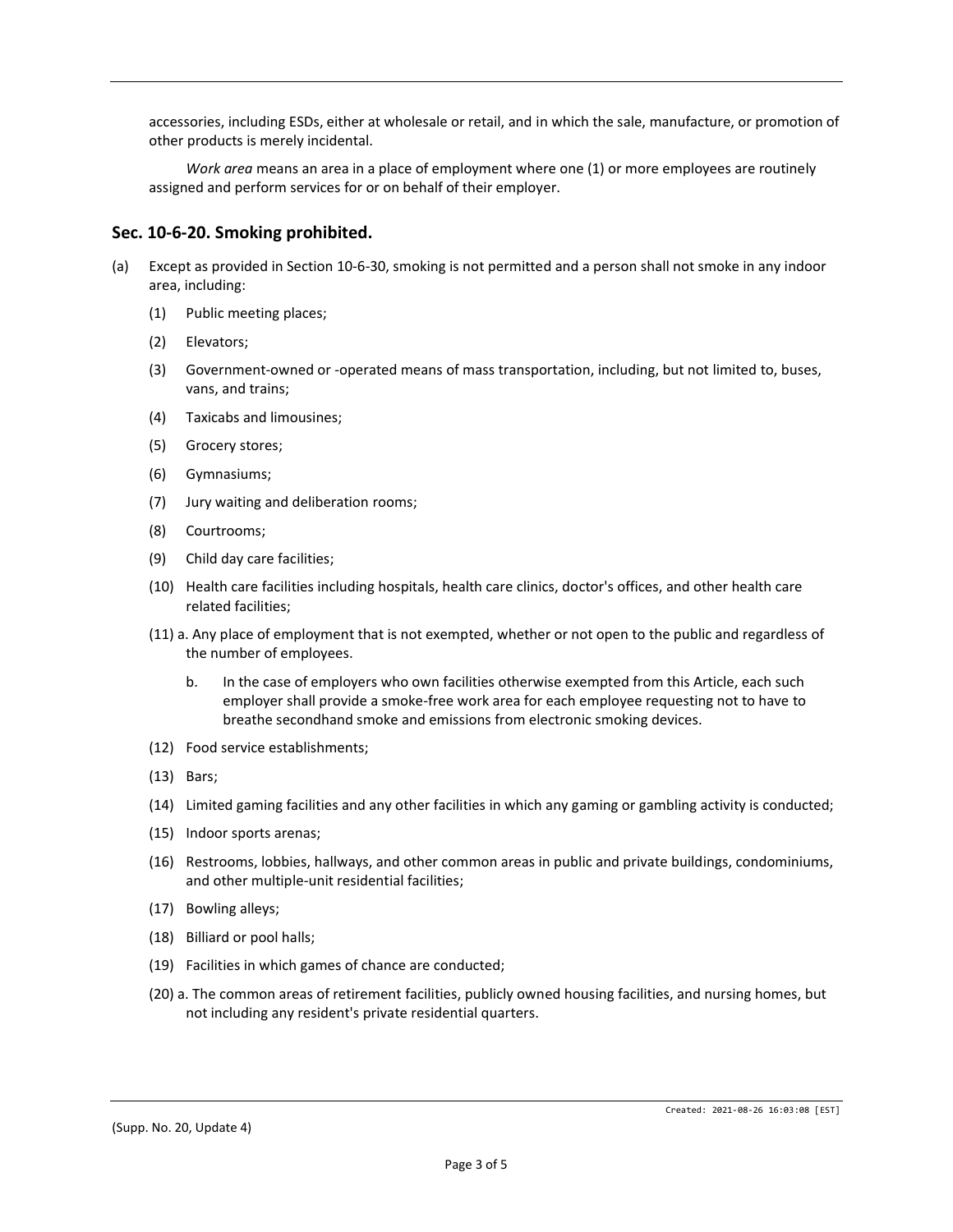accessories, including ESDs, either at wholesale or retail, and in which the sale, manufacture, or promotion of other products is merely incidental.

*Work area* means an area in a place of employment where one (1) or more employees are routinely assigned and perform services for or on behalf of their employer.

#### **Sec. 10-6-20. Smoking prohibited.**

- (a) Except as provided in Section 10-6-30, smoking is not permitted and a person shall not smoke in any indoor area, including:
	- (1) Public meeting places;
	- (2) Elevators;
	- (3) Government-owned or -operated means of mass transportation, including, but not limited to, buses, vans, and trains;
	- (4) Taxicabs and limousines;
	- (5) Grocery stores;
	- (6) Gymnasiums;
	- (7) Jury waiting and deliberation rooms;
	- (8) Courtrooms;
	- (9) Child day care facilities;
	- (10) Health care facilities including hospitals, health care clinics, doctor's offices, and other health care related facilities;
	- (11) a. Any place of employment that is not exempted, whether or not open to the public and regardless of the number of employees.
		- b. In the case of employers who own facilities otherwise exempted from this Article, each such employer shall provide a smoke-free work area for each employee requesting not to have to breathe secondhand smoke and emissions from electronic smoking devices.
	- (12) Food service establishments;
	- (13) Bars;
	- (14) Limited gaming facilities and any other facilities in which any gaming or gambling activity is conducted;
	- (15) Indoor sports arenas;
	- (16) Restrooms, lobbies, hallways, and other common areas in public and private buildings, condominiums, and other multiple-unit residential facilities;
	- (17) Bowling alleys;
	- (18) Billiard or pool halls;
	- (19) Facilities in which games of chance are conducted;
	- (20) a. The common areas of retirement facilities, publicly owned housing facilities, and nursing homes, but not including any resident's private residential quarters.

(Supp. No. 20, Update 4)

Created: 2021-08-26 16:03:08 [EST]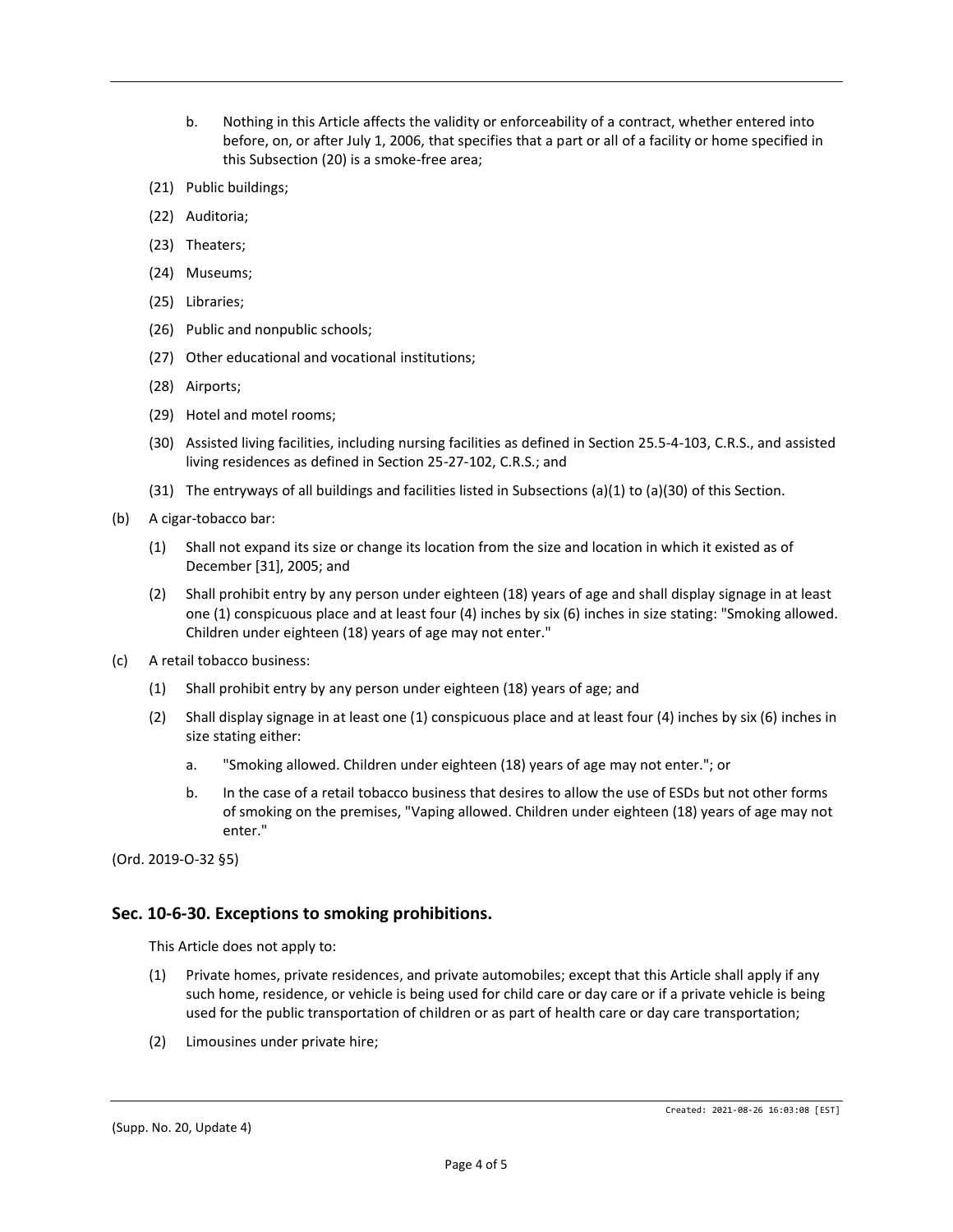- b. Nothing in this Article affects the validity or enforceability of a contract, whether entered into before, on, or after July 1, 2006, that specifies that a part or all of a facility or home specified in this Subsection (20) is a smoke-free area;
- (21) Public buildings;
- (22) Auditoria;
- (23) Theaters;
- (24) Museums;
- (25) Libraries;
- (26) Public and nonpublic schools;
- (27) Other educational and vocational institutions;
- (28) Airports;
- (29) Hotel and motel rooms;
- (30) Assisted living facilities, including nursing facilities as defined in Section 25.5-4-103, C.R.S., and assisted living residences as defined in Section 25-27-102, C.R.S.; and
- (31) The entryways of all buildings and facilities listed in Subsections (a)(1) to (a)(30) of this Section.
- (b) A cigar-tobacco bar:
	- (1) Shall not expand its size or change its location from the size and location in which it existed as of December [31], 2005; and
	- (2) Shall prohibit entry by any person under eighteen (18) years of age and shall display signage in at least one (1) conspicuous place and at least four (4) inches by six (6) inches in size stating: "Smoking allowed. Children under eighteen (18) years of age may not enter."
- (c) A retail tobacco business:
	- (1) Shall prohibit entry by any person under eighteen (18) years of age; and
	- (2) Shall display signage in at least one (1) conspicuous place and at least four (4) inches by six (6) inches in size stating either:
		- a. "Smoking allowed. Children under eighteen (18) years of age may not enter."; or
		- b. In the case of a retail tobacco business that desires to allow the use of ESDs but not other forms of smoking on the premises, "Vaping allowed. Children under eighteen (18) years of age may not enter."

(Ord. 2019-O-32 §5)

## **Sec. 10-6-30. Exceptions to smoking prohibitions.**

This Article does not apply to:

- (1) Private homes, private residences, and private automobiles; except that this Article shall apply if any such home, residence, or vehicle is being used for child care or day care or if a private vehicle is being used for the public transportation of children or as part of health care or day care transportation;
- (2) Limousines under private hire;